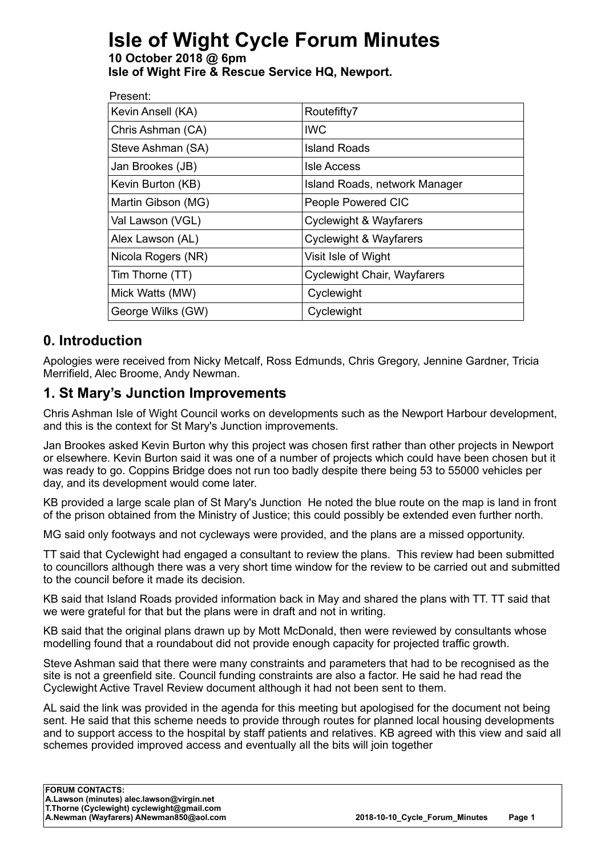# **Isle of Wight Cycle Forum Minutes**

#### **10 October 2018 @ 6pm Isle of Wight Fire & Rescue Service HQ, Newport.**

| Present:           |                                    |
|--------------------|------------------------------------|
| Kevin Ansell (KA)  | Routefifty7                        |
| Chris Ashman (CA)  | <b>IWC</b>                         |
| Steve Ashman (SA)  | <b>Island Roads</b>                |
| Jan Brookes (JB)   | <b>Isle Access</b>                 |
| Kevin Burton (KB)  | Island Roads, network Manager      |
| Martin Gibson (MG) | People Powered CIC                 |
| Val Lawson (VGL)   | <b>Cyclewight &amp; Wayfarers</b>  |
| Alex Lawson (AL)   | <b>Cyclewight &amp; Wayfarers</b>  |
| Nicola Rogers (NR) | Visit Isle of Wight                |
| Tim Thorne (TT)    | <b>Cyclewight Chair, Wayfarers</b> |
| Mick Watts (MW)    | Cyclewight                         |
| George Wilks (GW)  | Cyclewight                         |
|                    |                                    |

## **0. Introduction**

Apologies were received from Nicky Metcalf, Ross Edmunds, Chris Gregory, Jennine Gardner, Tricia Merrifield, Alec Broome, Andy Newman.

## **1. St Mary's Junction Improvements**

Chris Ashman Isle of Wight Council works on developments such as the Newport Harbour development, and this is the context for St Mary's Junction improvements.

Jan Brookes asked Kevin Burton why this project was chosen first rather than other projects in Newport or elsewhere. Kevin Burton said it was one of a number of projects which could have been chosen but it was ready to go. Coppins Bridge does not run too badly despite there being 53 to 55000 vehicles per day, and its development would come later.

KB provided a large scale plan of St Mary's Junction He noted the blue route on the map is land in front of the prison obtained from the Ministry of Justice; this could possibly be extended even further north.

MG said only footways and not cycleways were provided, and the plans are a missed opportunity.

TT said that Cyclewight had engaged a consultant to review the plans. This review had been submitted to councillors although there was a very short time window for the review to be carried out and submitted to the council before it made its decision.

KB said that Island Roads provided information back in May and shared the plans with TT. TT said that we were grateful for that but the plans were in draft and not in writing.

KB said that the original plans drawn up by Mott McDonald, then were reviewed by consultants whose modelling found that a roundabout did not provide enough capacity for projected traffic growth.

Steve Ashman said that there were many constraints and parameters that had to be recognised as the site is not a greenfield site. Council funding constraints are also a factor. He said he had read the Cyclewight Active Travel Review document although it had not been sent to them.

AL said the link was provided in the agenda for this meeting but apologised for the document not being sent. He said that this scheme needs to provide through routes for planned local housing developments and to support access to the hospital by staff patients and relatives. KB agreed with this view and said all schemes provided improved access and eventually all the bits will join together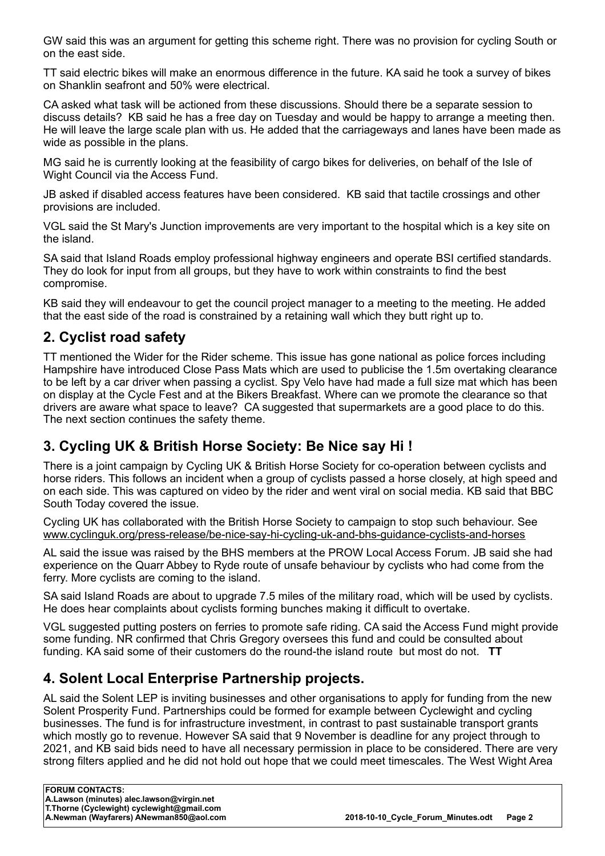GW said this was an argument for getting this scheme right. There was no provision for cycling South or on the east side.

TT said electric bikes will make an enormous difference in the future. KA said he took a survey of bikes on Shanklin seafront and 50% were electrical.

CA asked what task will be actioned from these discussions. Should there be a separate session to discuss details? KB said he has a free day on Tuesday and would be happy to arrange a meeting then. He will leave the large scale plan with us. He added that the carriageways and lanes have been made as wide as possible in the plans.

MG said he is currently looking at the feasibility of cargo bikes for deliveries, on behalf of the Isle of Wight Council via the Access Fund.

JB asked if disabled access features have been considered. KB said that tactile crossings and other provisions are included.

VGL said the St Mary's Junction improvements are very important to the hospital which is a key site on the island.

SA said that Island Roads employ professional highway engineers and operate BSI certified standards. They do look for input from all groups, but they have to work within constraints to find the best compromise.

KB said they will endeavour to get the council project manager to a meeting to the meeting. He added that the east side of the road is constrained by a retaining wall which they butt right up to.

## **2. Cyclist road safety**

TT mentioned the Wider for the Rider scheme. This issue has gone national as police forces including Hampshire have introduced Close Pass Mats which are used to publicise the 1.5m overtaking clearance to be left by a car driver when passing a cyclist. Spy Velo have had made a full size mat which has been on display at the Cycle Fest and at the Bikers Breakfast. Where can we promote the clearance so that drivers are aware what space to leave? CA suggested that supermarkets are a good place to do this. The next section continues the safety theme.

## **3. Cycling UK & British Horse Society: Be Nice say Hi !**

There is a joint campaign by Cycling UK & British Horse Society for co-operation between cyclists and horse riders. This follows an incident when a group of cyclists passed a horse closely, at high speed and on each side. This was captured on video by the rider and went viral on social media. KB said that BBC South Today covered the issue.

Cycling UK has collaborated with the British Horse Society to campaign to stop such behaviour. See [www.cyclinguk.org/press-release/be-nice-say-hi-cycling-uk-and-bhs-guidance-cyclists-and-horses](http://www.cyclinguk.org/press-release/be-nice-say-hi-cycling-uk-and-bhs-guidance-cyclists-and-horses)

AL said the issue was raised by the BHS members at the PROW Local Access Forum. JB said she had experience on the Quarr Abbey to Ryde route of unsafe behaviour by cyclists who had come from the ferry. More cyclists are coming to the island.

SA said Island Roads are about to upgrade 7.5 miles of the military road, which will be used by cyclists. He does hear complaints about cyclists forming bunches making it difficult to overtake.

VGL suggested putting posters on ferries to promote safe riding. CA said the Access Fund might provide some funding. NR confirmed that Chris Gregory oversees this fund and could be consulted about funding. KA said some of their customers do the round-the island route but most do not. **TT**

## **4. Solent Local Enterprise Partnership projects.**

AL said the Solent LEP is inviting businesses and other organisations to apply for funding from the new Solent Prosperity Fund. Partnerships could be formed for example between Cyclewight and cycling businesses. The fund is for infrastructure investment, in contrast to past sustainable transport grants which mostly go to revenue. However SA said that 9 November is deadline for any project through to 2021, and KB said bids need to have all necessary permission in place to be considered. There are very strong filters applied and he did not hold out hope that we could meet timescales. The West Wight Area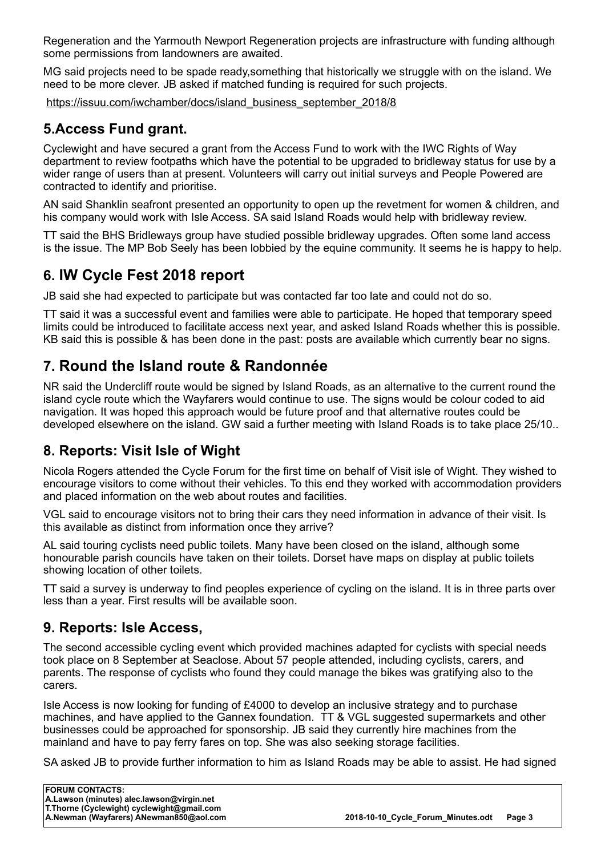Regeneration and the Yarmouth Newport Regeneration projects are infrastructure with funding although some permissions from landowners are awaited.

MG said projects need to be spade ready,something that historically we struggle with on the island. We need to be more clever. JB asked if matched funding is required for such projects.

[https://issuu.com/iwchamber/docs/island\\_business\\_september\\_2018/8](https://issuu.com/iwchamber/docs/island_business_september_2018/8) 

## **5.Access Fund grant.**

Cyclewight and have secured a grant from the Access Fund to work with the IWC Rights of Way department to review footpaths which have the potential to be upgraded to bridleway status for use by a wider range of users than at present. Volunteers will carry out initial surveys and People Powered are contracted to identify and prioritise.

AN said Shanklin seafront presented an opportunity to open up the revetment for women & children, and his company would work with Isle Access. SA said Island Roads would help with bridleway review.

TT said the BHS Bridleways group have studied possible bridleway upgrades. Often some land access is the issue. The MP Bob Seely has been lobbied by the equine community. It seems he is happy to help.

## **6. IW Cycle Fest 2018 report**

JB said she had expected to participate but was contacted far too late and could not do so.

TT said it was a successful event and families were able to participate. He hoped that temporary speed limits could be introduced to facilitate access next year, and asked Island Roads whether this is possible. KB said this is possible & has been done in the past: posts are available which currently bear no signs.

## **7. Round the Island route & Randonnée**

NR said the Undercliff route would be signed by Island Roads, as an alternative to the current round the island cycle route which the Wayfarers would continue to use. The signs would be colour coded to aid navigation. It was hoped this approach would be future proof and that alternative routes could be developed elsewhere on the island. GW said a further meeting with Island Roads is to take place 25/10..

## **8. Reports: Visit Isle of Wight**

Nicola Rogers attended the Cycle Forum for the first time on behalf of Visit isle of Wight. They wished to encourage visitors to come without their vehicles. To this end they worked with accommodation providers and placed information on the web about routes and facilities.

VGL said to encourage visitors not to bring their cars they need information in advance of their visit. Is this available as distinct from information once they arrive?

AL said touring cyclists need public toilets. Many have been closed on the island, although some honourable parish councils have taken on their toilets. Dorset have maps on display at public toilets showing location of other toilets.

TT said a survey is underway to find peoples experience of cycling on the island. It is in three parts over less than a year. First results will be available soon.

## **9. Reports: Isle Access,**

The second accessible cycling event which provided machines adapted for cyclists with special needs took place on 8 September at Seaclose. About 57 people attended, including cyclists, carers, and parents. The response of cyclists who found they could manage the bikes was gratifying also to the carers.

Isle Access is now looking for funding of £4000 to develop an inclusive strategy and to purchase machines, and have applied to the Gannex foundation. TT & VGL suggested supermarkets and other businesses could be approached for sponsorship. JB said they currently hire machines from the mainland and have to pay ferry fares on top. She was also seeking storage facilities.

SA asked JB to provide further information to him as Island Roads may be able to assist. He had signed